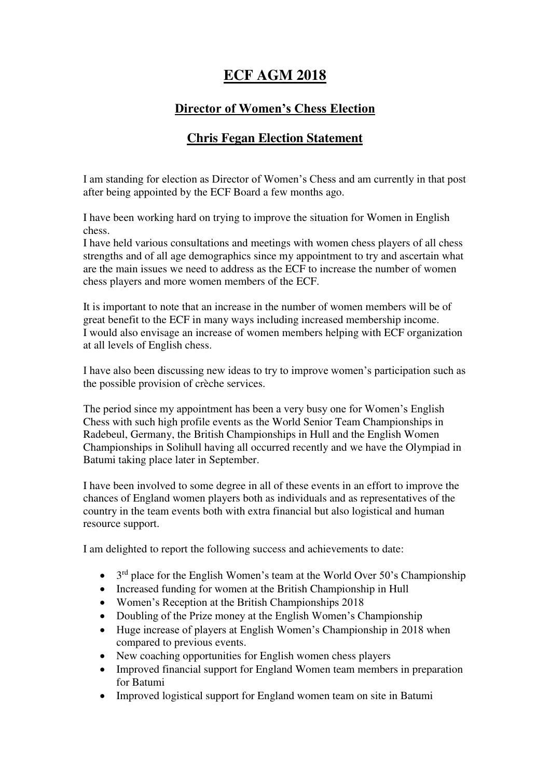## **ECF AGM 2018**

## **Director of Women's Chess Election**

## **Chris Fegan Election Statement**

I am standing for election as Director of Women's Chess and am currently in that post after being appointed by the ECF Board a few months ago.

I have been working hard on trying to improve the situation for Women in English chess.

I have held various consultations and meetings with women chess players of all chess strengths and of all age demographics since my appointment to try and ascertain what are the main issues we need to address as the ECF to increase the number of women chess players and more women members of the ECF.

It is important to note that an increase in the number of women members will be of great benefit to the ECF in many ways including increased membership income. I would also envisage an increase of women members helping with ECF organization at all levels of English chess.

I have also been discussing new ideas to try to improve women's participation such as the possible provision of crèche services.

The period since my appointment has been a very busy one for Women's English Chess with such high profile events as the World Senior Team Championships in Radebeul, Germany, the British Championships in Hull and the English Women Championships in Solihull having all occurred recently and we have the Olympiad in Batumi taking place later in September.

I have been involved to some degree in all of these events in an effort to improve the chances of England women players both as individuals and as representatives of the country in the team events both with extra financial but also logistical and human resource support.

I am delighted to report the following success and achievements to date:

- $\bullet$  3<sup>rd</sup> place for the English Women's team at the World Over 50's Championship
- Increased funding for women at the British Championship in Hull
- Women's Reception at the British Championships 2018
- Doubling of the Prize money at the English Women's Championship
- Huge increase of players at English Women's Championship in 2018 when compared to previous events.
- New coaching opportunities for English women chess players
- Improved financial support for England Women team members in preparation for Batumi
- Improved logistical support for England women team on site in Batumi